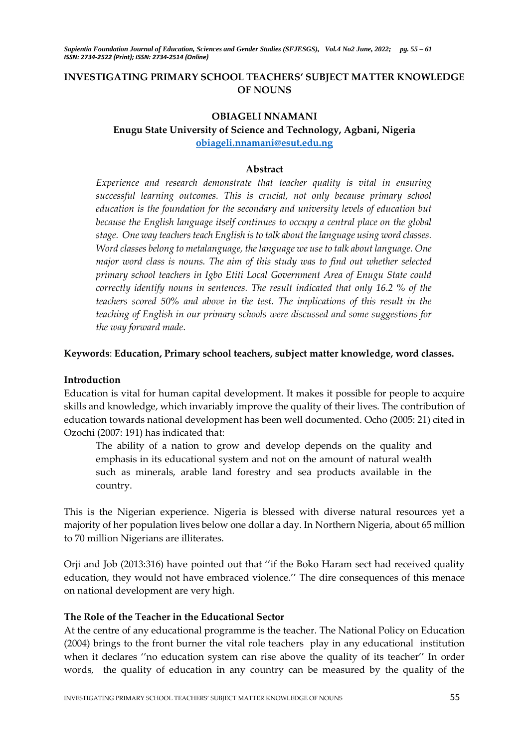# **INVESTIGATING PRIMARY SCHOOL TEACHERS' SUBJECT MATTER KNOWLEDGE OF NOUNS**

## **OBIAGELI NNAMANI**

# **Enugu State University of Science and Technology, Agbani, Nigeria [obiageli.nnamani@esut.edu.ng](mailto:obiageli.nnamani@esut.edu.ng)**

#### **Abstract**

*Experience and research demonstrate that teacher quality is vital in ensuring successful learning outcomes. This is crucial, not only because primary school education is the foundation for the secondary and university levels of education but because the English language itself continues to occupy a central place on the global stage. One way teachers teach English is to talk about the language using word classes. Word classes belong to metalanguage, the language we use to talk about language. One major word class is nouns. The aim of this study was to find out whether selected primary school teachers in Igbo Etiti Local Government Area of Enugu State could correctly identify nouns in sentences. The result indicated that only 16.2 % of the teachers scored 50% and above in the test. The implications of this result in the teaching of English in our primary schools were discussed and some suggestions for the way forward made*.

### **Keywords**: **Education, Primary school teachers, subject matter knowledge, word classes.**

# **Introduction**

Education is vital for human capital development. It makes it possible for people to acquire skills and knowledge, which invariably improve the quality of their lives. The contribution of education towards national development has been well documented. Ocho (2005: 21) cited in Ozochi (2007: 191) has indicated that:

The ability of a nation to grow and develop depends on the quality and emphasis in its educational system and not on the amount of natural wealth such as minerals, arable land forestry and sea products available in the country.

This is the Nigerian experience. Nigeria is blessed with diverse natural resources yet a majority of her population lives below one dollar a day. In Northern Nigeria, about 65 million to 70 million Nigerians are illiterates.

Orji and Job (2013:316) have pointed out that ''if the Boko Haram sect had received quality education, they would not have embraced violence.'' The dire consequences of this menace on national development are very high.

# **The Role of the Teacher in the Educational Sector**

At the centre of any educational programme is the teacher. The National Policy on Education (2004) brings to the front burner the vital role teachers play in any educational institution when it declares ''no education system can rise above the quality of its teacher'' In order words, the quality of education in any country can be measured by the quality of the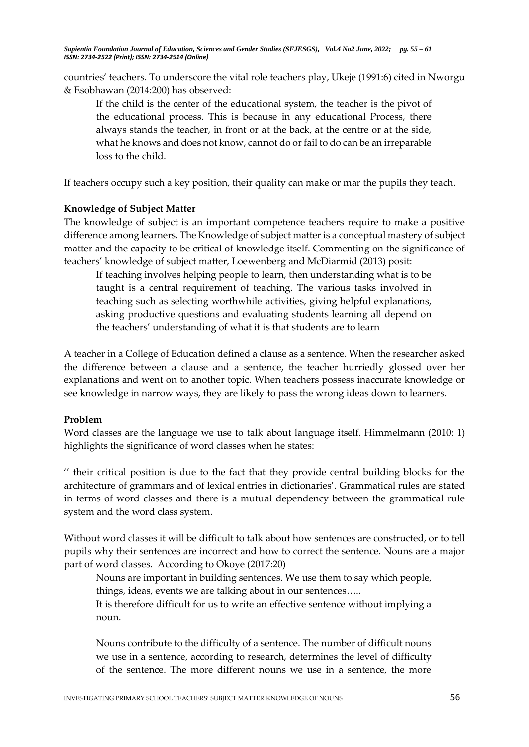countries' teachers. To underscore the vital role teachers play, Ukeje (1991:6) cited in Nworgu & Esobhawan (2014:200) has observed:

If the child is the center of the educational system, the teacher is the pivot of the educational process. This is because in any educational Process, there always stands the teacher, in front or at the back, at the centre or at the side, what he knows and does not know, cannot do or fail to do can be an irreparable loss to the child.

If teachers occupy such a key position, their quality can make or mar the pupils they teach.

### **Knowledge of Subject Matter**

The knowledge of subject is an important competence teachers require to make a positive difference among learners. The Knowledge of subject matter is a conceptual mastery of subject matter and the capacity to be critical of knowledge itself. Commenting on the significance of teachers' knowledge of subject matter, Loewenberg and McDiarmid (2013) posit:

If teaching involves helping people to learn, then understanding what is to be taught is a central requirement of teaching. The various tasks involved in teaching such as selecting worthwhile activities, giving helpful explanations, asking productive questions and evaluating students learning all depend on the teachers' understanding of what it is that students are to learn

A teacher in a College of Education defined a clause as a sentence. When the researcher asked the difference between a clause and a sentence, the teacher hurriedly glossed over her explanations and went on to another topic. When teachers possess inaccurate knowledge or see knowledge in narrow ways, they are likely to pass the wrong ideas down to learners.

#### **Problem**

Word classes are the language we use to talk about language itself. Himmelmann (2010: 1) highlights the significance of word classes when he states:

'' their critical position is due to the fact that they provide central building blocks for the architecture of grammars and of lexical entries in dictionaries'. Grammatical rules are stated in terms of word classes and there is a mutual dependency between the grammatical rule system and the word class system.

Without word classes it will be difficult to talk about how sentences are constructed, or to tell pupils why their sentences are incorrect and how to correct the sentence. Nouns are a major part of word classes. According to Okoye (2017:20)

Nouns are important in building sentences. We use them to say which people, things, ideas, events we are talking about in our sentences…..

It is therefore difficult for us to write an effective sentence without implying a noun.

Nouns contribute to the difficulty of a sentence. The number of difficult nouns we use in a sentence, according to research, determines the level of difficulty of the sentence. The more different nouns we use in a sentence, the more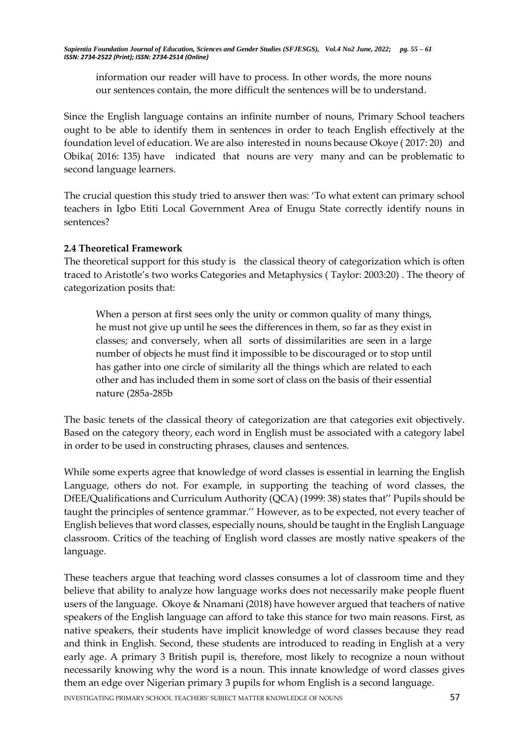information our reader will have to process. In other words, the more nouns our sentences contain, the more difficult the sentences will be to understand.

Since the English language contains an infinite number of nouns, Primary School teachers ought to be able to identify them in sentences in order to teach English effectively at the foundation level of education. We are also interested in nouns because Okoye ( 2017: 20) and Obika( 2016: 135) have indicated that nouns are very many and can be problematic to second language learners.

The crucial question this study tried to answer then was: 'To what extent can primary school teachers in Igbo Etiti Local Government Area of Enugu State correctly identify nouns in sentences?

# **2.4 Theoretical Framework**

The theoretical support for this study is the classical theory of categorization which is often traced to Aristotle's two works Categories and Metaphysics ( Taylor: 2003:20) . The theory of categorization posits that:

When a person at first sees only the unity or common quality of many things, he must not give up until he sees the differences in them, so far as they exist in classes; and conversely, when all sorts of dissimilarities are seen in a large number of objects he must find it impossible to be discouraged or to stop until has gather into one circle of similarity all the things which are related to each other and has included them in some sort of class on the basis of their essential nature (285a-285b

The basic tenets of the classical theory of categorization are that categories exit objectively. Based on the category theory, each word in English must be associated with a category label in order to be used in constructing phrases, clauses and sentences.

While some experts agree that knowledge of word classes is essential in learning the English Language, others do not. For example, in supporting the teaching of word classes, the DfEE/Qualifications and Curriculum Authority (QCA) (1999: 38) states that'' Pupils should be taught the principles of sentence grammar.'' However, as to be expected, not every teacher of English believes that word classes, especially nouns, should be taught in the English Language classroom. Critics of the teaching of English word classes are mostly native speakers of the language.

These teachers argue that teaching word classes consumes a lot of classroom time and they believe that ability to analyze how language works does not necessarily make people fluent users of the language. Okoye & Nnamani (2018) have however argued that teachers of native speakers of the English language can afford to take this stance for two main reasons. First, as native speakers, their students have implicit knowledge of word classes because they read and think in English. Second, these students are introduced to reading in English at a very early age. A primary 3 British pupil is, therefore, most likely to recognize a noun without necessarily knowing why the word is a noun. This innate knowledge of word classes gives them an edge over Nigerian primary 3 pupils for whom English is a second language.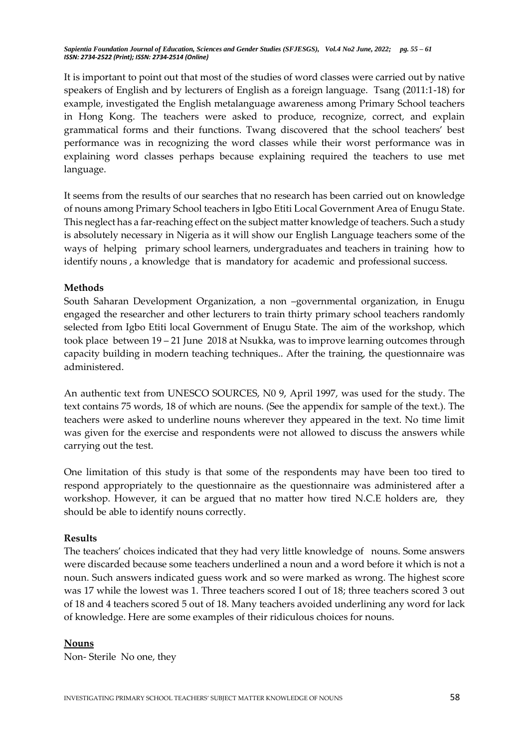It is important to point out that most of the studies of word classes were carried out by native speakers of English and by lecturers of English as a foreign language. Tsang (2011:1-18) for example, investigated the English metalanguage awareness among Primary School teachers in Hong Kong. The teachers were asked to produce, recognize, correct, and explain grammatical forms and their functions. Twang discovered that the school teachers' best performance was in recognizing the word classes while their worst performance was in explaining word classes perhaps because explaining required the teachers to use met language.

It seems from the results of our searches that no research has been carried out on knowledge of nouns among Primary School teachers in Igbo Etiti Local Government Area of Enugu State. This neglect has a far-reaching effect on the subject matter knowledge of teachers. Such a study is absolutely necessary in Nigeria as it will show our English Language teachers some of the ways of helping primary school learners, undergraduates and teachers in training how to identify nouns , a knowledge that is mandatory for academic and professional success.

### **Methods**

South Saharan Development Organization, a non –governmental organization, in Enugu engaged the researcher and other lecturers to train thirty primary school teachers randomly selected from Igbo Etiti local Government of Enugu State. The aim of the workshop, which took place between 19 – 21 June 2018 at Nsukka, was to improve learning outcomes through capacity building in modern teaching techniques.. After the training, the questionnaire was administered.

An authentic text from UNESCO SOURCES, N0 9, April 1997, was used for the study. The text contains 75 words, 18 of which are nouns. (See the appendix for sample of the text.). The teachers were asked to underline nouns wherever they appeared in the text. No time limit was given for the exercise and respondents were not allowed to discuss the answers while carrying out the test.

One limitation of this study is that some of the respondents may have been too tired to respond appropriately to the questionnaire as the questionnaire was administered after a workshop. However, it can be argued that no matter how tired N.C.E holders are, they should be able to identify nouns correctly.

#### **Results**

The teachers' choices indicated that they had very little knowledge of nouns. Some answers were discarded because some teachers underlined a noun and a word before it which is not a noun. Such answers indicated guess work and so were marked as wrong. The highest score was 17 while the lowest was 1. Three teachers scored I out of 18; three teachers scored 3 out of 18 and 4 teachers scored 5 out of 18. Many teachers avoided underlining any word for lack of knowledge. Here are some examples of their ridiculous choices for nouns.

#### **Nouns**

Non- Sterile No one, they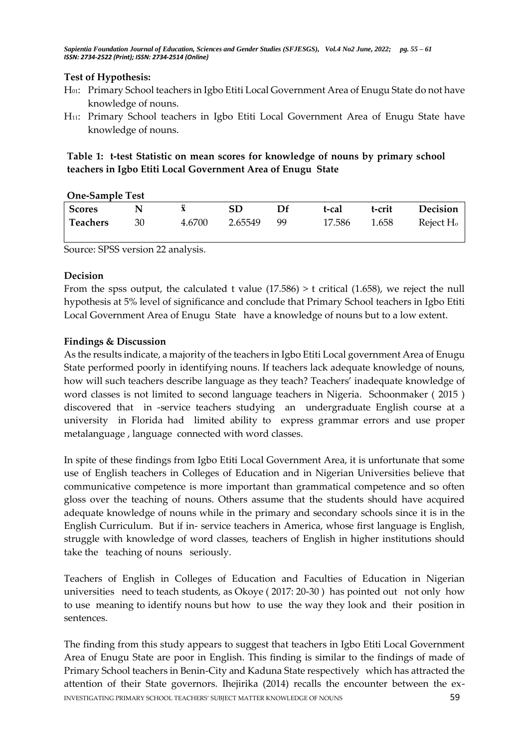# **Test of Hypothesis:**

- H01: Primary School teachers in Igbo Etiti Local Government Area of Enugu State do not have knowledge of nouns.
- H11: Primary School teachers in Igbo Etiti Local Government Area of Enugu State have knowledge of nouns.

**Table 1: t-test Statistic on mean scores for knowledge of nouns by primary school teachers in Igbo Etiti Local Government Area of Enugu State** 

| <b>One-Sample Test</b> |    |        |         |    |        |        |                       |  |
|------------------------|----|--------|---------|----|--------|--------|-----------------------|--|
| <b>Scores</b>          |    |        | SD      | Df | t-cal  | t-crit | <b>Decision</b>       |  |
| Teachers               | 30 | 4.6700 | 2.65549 | 99 | 17.586 | 1.658  | Reject H <sub>o</sub> |  |

Source: SPSS version 22 analysis.

### **Decision**

From the spss output, the calculated t value  $(17.586) > t$  critical  $(1.658)$ , we reject the null hypothesis at 5% level of significance and conclude that Primary School teachers in Igbo Etiti Local Government Area of Enugu State have a knowledge of nouns but to a low extent.

# **Findings & Discussion**

As the results indicate, a majority of the teachers in Igbo Etiti Local government Area of Enugu State performed poorly in identifying nouns. If teachers lack adequate knowledge of nouns, how will such teachers describe language as they teach? Teachers' inadequate knowledge of word classes is not limited to second language teachers in Nigeria. Schoonmaker ( 2015 ) discovered that in -service teachers studying an undergraduate English course at a university in Florida had limited ability to express grammar errors and use proper metalanguage , language connected with word classes.

In spite of these findings from Igbo Etiti Local Government Area, it is unfortunate that some use of English teachers in Colleges of Education and in Nigerian Universities believe that communicative competence is more important than grammatical competence and so often gloss over the teaching of nouns. Others assume that the students should have acquired adequate knowledge of nouns while in the primary and secondary schools since it is in the English Curriculum. But if in- service teachers in America, whose first language is English, struggle with knowledge of word classes, teachers of English in higher institutions should take the teaching of nouns seriously.

Teachers of English in Colleges of Education and Faculties of Education in Nigerian universities need to teach students, as Okoye ( 2017: 20-30 ) has pointed out not only how to use meaning to identify nouns but how to use the way they look and their position in sentences.

INVESTIGATING PRIMARY SCHOOL TEACHERS' SUBJECT MATTER KNOWLEDGE OF NOUNS 59 The finding from this study appears to suggest that teachers in Igbo Etiti Local Government Area of Enugu State are poor in English. This finding is similar to the findings of made of Primary School teachers in Benin-City and Kaduna State respectively which has attracted the attention of their State governors. Ihejirika (2014) recalls the encounter between the ex-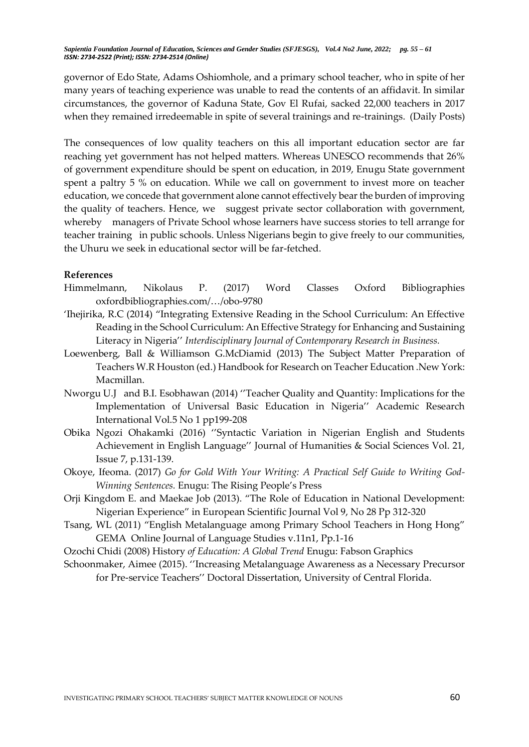governor of Edo State, Adams Oshiomhole, and a primary school teacher, who in spite of her many years of teaching experience was unable to read the contents of an affidavit. In similar circumstances, the governor of Kaduna State, Gov El Rufai, sacked 22,000 teachers in 2017 when they remained irredeemable in spite of several trainings and re-trainings. (Daily Posts)

The consequences of low quality teachers on this all important education sector are far reaching yet government has not helped matters. Whereas UNESCO recommends that 26% of government expenditure should be spent on education, in 2019, Enugu State government spent a paltry 5 % on education. While we call on government to invest more on teacher education, we concede that government alone cannot effectively bear the burden of improving the quality of teachers. Hence, we suggest private sector collaboration with government, whereby managers of Private School whose learners have success stories to tell arrange for teacher training in public schools. Unless Nigerians begin to give freely to our communities, the Uhuru we seek in educational sector will be far-fetched.

#### **References**

- Himmelmann, Nikolaus P. (2017) Word Classes Oxford Bibliographies oxfordbibliographies.com/…/obo-9780
- 'Ihejirika, R.C (2014) "Integrating Extensive Reading in the School Curriculum: An Effective Reading in the School Curriculum: An Effective Strategy for Enhancing and Sustaining Literacy in Nigeria'' *Interdisciplinary Journal of Contemporary Research in Business.*
- Loewenberg, Ball & Williamson G.McDiamid (2013) The Subject Matter Preparation of Teachers W.R Houston (ed.) Handbook for Research on Teacher Education .New York: Macmillan.
- Nworgu U.J and B.I. Esobhawan (2014) ''Teacher Quality and Quantity: Implications for the Implementation of Universal Basic Education in Nigeria'' Academic Research International Vol.5 No 1 pp199-208
- Obika Ngozi Ohakamki (2016) ''Syntactic Variation in Nigerian English and Students Achievement in English Language'' Journal of Humanities & Social Sciences Vol. 21, Issue 7, p.131-139.
- Okoye, Ifeoma. (2017) *Go for Gold With Your Writing: A Practical Self Guide to Writing God-Winning Sentences.* Enugu: The Rising People's Press
- Orji Kingdom E. and Maekae Job (2013). "The Role of Education in National Development: Nigerian Experience" in European Scientific Journal Vol 9, No 28 Pp 312-320
- Tsang, WL (2011) "English Metalanguage among Primary School Teachers in Hong Hong" GEMA Online Journal of Language Studies v.11n1, Pp.1-16
- Ozochi Chidi (2008) History *of Education: A Global Trend* Enugu: Fabson Graphics
- Schoonmaker, Aimee (2015). ''Increasing Metalanguage Awareness as a Necessary Precursor for Pre-service Teachers'' Doctoral Dissertation, University of Central Florida.